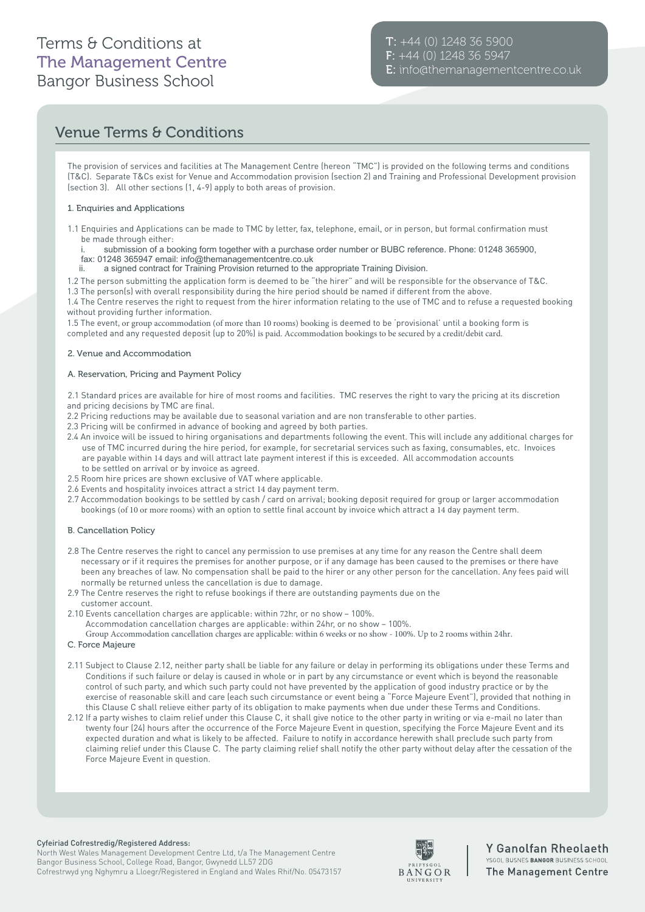# Terms & Conditions at The Management Centre Bangor Business School

# Venue Terms & Conditions

The provision of services and facilities at The Management Centre (hereon "TMC") is provided on the following terms and conditions (T&C). Separate T&Cs exist for Venue and Accommodation provision (section 2) and Training and Professional Development provision (section 3). All other sections (1, 4-9) apply to both areas of provision.

### 1. Enquiries and Applications

- 1.1 Enquiries and Applications can be made to TMC by letter, fax, telephone, email, or in person, but formal confirmation must be made through either:
	- submission of a booking form together with a purchase order number or BUBC reference. Phone: 01248 365900, fax: 01248 365947 email: info@themanagementcentre.co.uk
	- ii. a signed contract for Training Provision returned to the appropriate Training Division.
- 1.2 The person submitting the application form is deemed to be "the hirer" and will be responsible for the observance of T&C.
- 1.3 The person(s) with overall responsibility during the hire period should be named if different from the above.

1.4 The Centre reserves the right to request from the hirer information relating to the use of TMC and to refuse a requested booking without providing further information.

1.5 The event, or group accommodation (of more than 10 rooms) booking is deemed to be 'provisional' until a booking form is completed and any requested deposit (up to 20%) is paid. Accommodation bookings to be secured by a credit/debit card.

## 2. Venue and Accommodation

## A. Reservation, Pricing and Payment Policy

2.1 Standard prices are available for hire of most rooms and facilities. TMC reserves the right to vary the pricing at its discretion and pricing decisions by TMC are final.

- 2.2 Pricing reductions may be available due to seasonal variation and are non transferable to other parties.
- 2.3 Pricing will be confirmed in advance of booking and agreed by both parties.
- 2.4 An invoice will be issued to hiring organisations and departments following the event. This will include any additional charges for use of TMC incurred during the hire period, for example, for secretarial services such as faxing, consumables, etc. Invoices are payable within 14 days and will attract late payment interest if this is exceeded. All accommodation accounts to be settled on arrival or by invoice as agreed.
- 2.5 Room hire prices are shown exclusive of VAT where applicable.
- 2.6 Events and hospitality invoices attract a strict 14 day payment term.
- 2.7 Accommodation bookings to be settled by cash / card on arrival; booking deposit required for group or larger accommodation bookings (of 10 or more rooms) with an option to settle final account by invoice which attract a 14 day payment term.

#### B. Cancellation Policy

- 2.8 The Centre reserves the right to cancel any permission to use premises at any time for any reason the Centre shall deem necessary or if it requires the premises for another purpose, or if any damage has been caused to the premises or there have been any breaches of law. No compensation shall be paid to the hirer or any other person for the cancellation. Any fees paid will normally be returned unless the cancellation is due to damage.
- 2.9 The Centre reserves the right to refuse bookings if there are outstanding payments due on the customer account.
- 2.10 Events cancellation charges are applicable: within 72hr, or no show 100%.
	- Accommodation cancellation charges are applicable: within 24hr, or no show 100%.

Group Accommodation cancellation charges are applicable: within 6 weeks or no show - 100%. Up to 2 rooms within 24hr.

- C. Force Majeure
- 2.11 Subject to Clause 2.12, neither party shall be liable for any failure or delay in performing its obligations under these Terms and Conditions if such failure or delay is caused in whole or in part by any circumstance or event which is beyond the reasonable control of such party, and which such party could not have prevented by the application of good industry practice or by the exercise of reasonable skill and care (each such circumstance or event being a "Force Majeure Event"), provided that nothing in this Clause C shall relieve either party of its obligation to make payments when due under these Terms and Conditions.
- 2.12 If a party wishes to claim relief under this Clause C, it shall give notice to the other party in writing or via e-mail no later than twenty four (24) hours after the occurrence of the Force Majeure Event in question, specifying the Force Majeure Event and its expected duration and what is likely to be affected. Failure to notify in accordance herewith shall preclude such party from claiming relief under this Clause C. The party claiming relief shall notify the other party without delay after the cessation of the Force Majeure Event in question.

#### Cyfeiriad Cofrestredig/Registered Address:

North West Wales Management Development Centre Ltd, t/a The Management Centre Bangor Business School, College Road, Bangor, Gwynedd LL57 2DG Cofrestrwyd yng Nghymru a Lloegr/Registered in England and Wales Rhif/No. 05473157



Y Ganolfan Rheolaeth YSGOL BUSNES BANGOR BUSINESS SCHOOL **The Management Centre**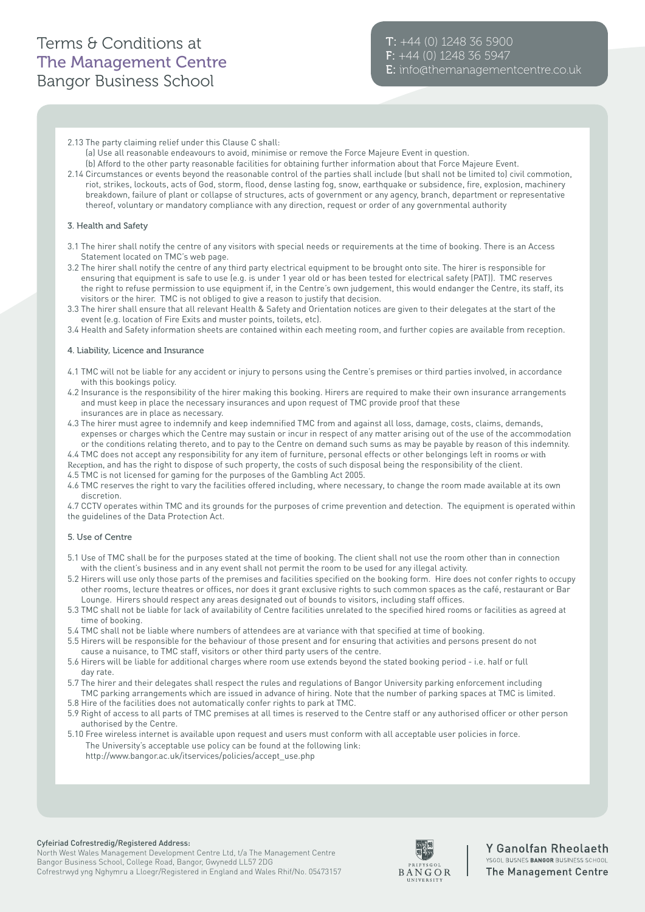# Terms & Conditions at The Management Centre Bangor Business School

- 2.13 The party claiming relief under this Clause C shall:
- (a) Use all reasonable endeavours to avoid, minimise or remove the Force Majeure Event in question. (b) Afford to the other party reasonable facilities for obtaining further information about that Force Majeure Event.
- 2.14 Circumstances or events beyond the reasonable control of the parties shall include (but shall not be limited to) civil commotion, riot, strikes, lockouts, acts of God, storm, flood, dense lasting fog, snow, earthquake or subsidence, fire, explosion, machinery breakdown, failure of plant or collapse of structures, acts of government or any agency, branch, department or representative thereof, voluntary or mandatory compliance with any direction, request or order of any governmental authority

## 3. Health and Safety

- 3.1 The hirer shall notify the centre of any visitors with special needs or requirements at the time of booking. There is an Access Statement located on TMC's web page.
- 3.2 The hirer shall notify the centre of any third party electrical equipment to be brought onto site. The hirer is responsible for ensuring that equipment is safe to use (e.g. is under 1 year old or has been tested for electrical safety (PAT)). TMC reserves the right to refuse permission to use equipment if, in the Centre's own judgement, this would endanger the Centre, its staff, its visitors or the hirer. TMC is not obliged to give a reason to justify that decision.
- 3.3 The hirer shall ensure that all relevant Health & Safety and Orientation notices are given to their delegates at the start of the event (e.g. location of Fire Exits and muster points, toilets, etc).
- 3.4 Health and Safety information sheets are contained within each meeting room, and further copies are available from reception.

#### 4. Liability, Licence and Insurance

- 4.1 TMC will not be liable for any accident or injury to persons using the Centre's premises or third parties involved, in accordance with this bookings policy.
- 4.2 Insurance is the responsibility of the hirer making this booking. Hirers are required to make their own insurance arrangements and must keep in place the necessary insurances and upon request of TMC provide proof that these insurances are in place as necessary.
- 4.3 The hirer must agree to indemnify and keep indemnified TMC from and against all loss, damage, costs, claims, demands, expenses or charges which the Centre may sustain or incur in respect of any matter arising out of the use of the accommodation
- or the conditions relating thereto, and to pay to the Centre on demand such sums as may be payable by reason of this indemnity. 4.4 TMC does not accept any responsibility for any item of furniture, personal effects or other belongings left in rooms or with Reception, and has the right to dispose of such property, the costs of such disposal being the responsibility of the client.
- 4.5 TMC is not licensed for gaming for the purposes of the Gambling Act 2005.
- 4.6 TMC reserves the right to vary the facilities offered including, where necessary, to change the room made available at its own discretion.

4.7 CCTV operates within TMC and its grounds for the purposes of crime prevention and detection. The equipment is operated within the guidelines of the Data Protection Act.

#### 5. Use of Centre

- 5.1 Use of TMC shall be for the purposes stated at the time of booking. The client shall not use the room other than in connection with the client's business and in any event shall not permit the room to be used for any illegal activity.
- 5.2 Hirers will use only those parts of the premises and facilities specified on the booking form. Hire does not confer rights to occupy other rooms, lecture theatres or offices, nor does it grant exclusive rights to such common spaces as the café, restaurant or Bar Lounge. Hirers should respect any areas designated out of bounds to visitors, including staff offices.
- 5.3 TMC shall not be liable for lack of availability of Centre facilities unrelated to the specified hired rooms or facilities as agreed at time of booking.
- 5.4 TMC shall not be liable where numbers of attendees are at variance with that specified at time of booking.
- 5.5 Hirers will be responsible for the behaviour of those present and for ensuring that activities and persons present do not cause a nuisance, to TMC staff, visitors or other third party users of the centre.
- 5.6 Hirers will be liable for additional charges where room use extends beyond the stated booking period i.e. half or full day rate.
- 5.7 The hirer and their delegates shall respect the rules and regulations of Bangor University parking enforcement including TMC parking arrangements which are issued in advance of hiring. Note that the number of parking spaces at TMC is limited.
- 5.8 Hire of the facilities does not automatically confer rights to park at TMC.
- 5.9 Right of access to all parts of TMC premises at all times is reserved to the Centre staff or any authorised officer or other person authorised by the Centre.
- 5.10 Free wireless internet is available upon request and users must conform with all acceptable user policies in force. The University's acceptable use policy can be found at the following link: http://www.bangor.ac.uk/itservices/policies/accept\_use.php

#### Cyfeiriad Cofrestredig/Registered Address:

North West Wales Management Development Centre Ltd, t/a The Management Centre Bangor Business School, College Road, Bangor, Gwynedd LL57 2DG Cofrestrwyd yng Nghymru a Lloegr/Registered in England and Wales Rhif/No. 05473157



# Y Ganolfan Rheolaeth YSGOL BUSNES BANGOR BUSINESS SCHOOL The Management Centre